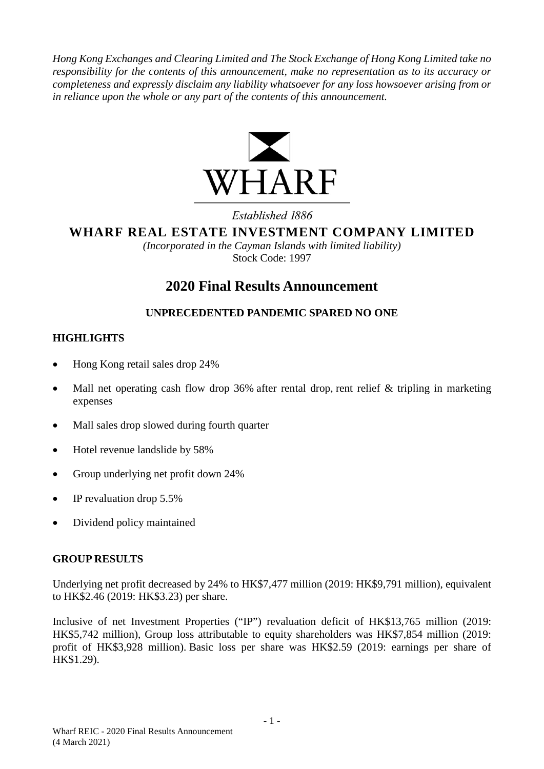*Hong Kong Exchanges and Clearing Limited and The Stock Exchange of Hong Kong Limited take no responsibility for the contents of this announcement, make no representation as to its accuracy or completeness and expressly disclaim any liability whatsoever for any loss howsoever arising from or in reliance upon the whole or any part of the contents of this announcement.*



Established 1886

**WHARF REAL ESTATE INVESTMENT COMPANY LIMITED**

*(Incorporated in the Cayman Islands with limited liability)* Stock Code: 1997

# **2020 Final Results Announcement**

# **UNPRECEDENTED PANDEMIC SPARED NO ONE**

# **HIGHLIGHTS**

- Hong Kong retail sales drop 24%
- Mall net operating cash flow drop 36% after rental drop, rent relief & tripling in marketing expenses
- Mall sales drop slowed during fourth quarter
- Hotel revenue landslide by 58%
- Group underlying net profit down 24%
- IP revaluation drop 5.5%
- Dividend policy maintained

## **GROUP RESULTS**

Underlying net profit decreased by 24% to HK\$7,477 million (2019: HK\$9,791 million), equivalent to HK\$2.46 (2019: HK\$3.23) per share.

Inclusive of net Investment Properties ("IP") revaluation deficit of HK\$13,765 million (2019: HK\$5,742 million), Group loss attributable to equity shareholders was HK\$7,854 million (2019: profit of HK\$3,928 million). Basic loss per share was HK\$2.59 (2019: earnings per share of HK\$1.29).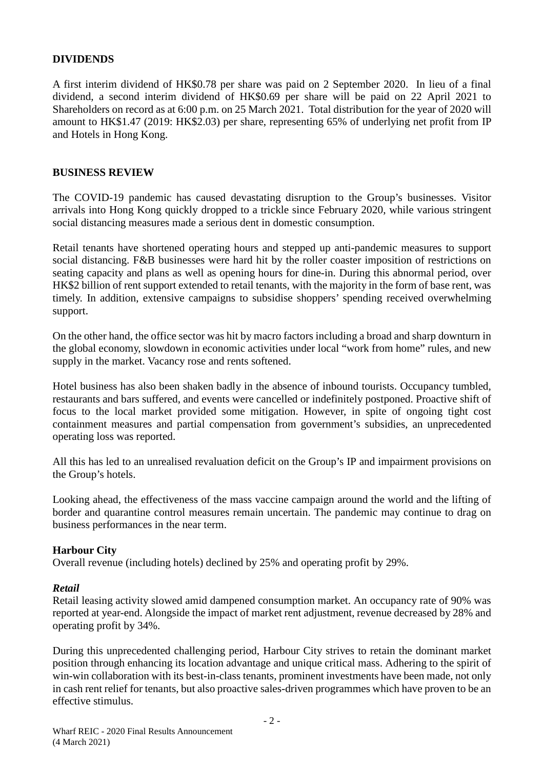## **DIVIDENDS**

A first interim dividend of HK\$0.78 per share was paid on 2 September 2020. In lieu of a final dividend, a second interim dividend of HK\$0.69 per share will be paid on 22 April 2021 to Shareholders on record as at 6:00 p.m. on 25 March 2021. Total distribution for the year of 2020 will amount to HK\$1.47 (2019: HK\$2.03) per share, representing 65% of underlying net profit from IP and Hotels in Hong Kong.

## **BUSINESS REVIEW**

The COVID-19 pandemic has caused devastating disruption to the Group's businesses. Visitor arrivals into Hong Kong quickly dropped to a trickle since February 2020, while various stringent social distancing measures made a serious dent in domestic consumption.

Retail tenants have shortened operating hours and stepped up anti-pandemic measures to support social distancing. F&B businesses were hard hit by the roller coaster imposition of restrictions on seating capacity and plans as well as opening hours for dine-in. During this abnormal period, over HK\$2 billion of rent support extended to retail tenants, with the majority in the form of base rent, was timely. In addition, extensive campaigns to subsidise shoppers' spending received overwhelming support.

On the other hand, the office sector was hit by macro factors including a broad and sharp downturn in the global economy, slowdown in economic activities under local "work from home" rules, and new supply in the market. Vacancy rose and rents softened.

Hotel business has also been shaken badly in the absence of inbound tourists. Occupancy tumbled, restaurants and bars suffered, and events were cancelled or indefinitely postponed. Proactive shift of focus to the local market provided some mitigation. However, in spite of ongoing tight cost containment measures and partial compensation from government's subsidies, an unprecedented operating loss was reported.

All this has led to an unrealised revaluation deficit on the Group's IP and impairment provisions on the Group's hotels.

Looking ahead, the effectiveness of the mass vaccine campaign around the world and the lifting of border and quarantine control measures remain uncertain. The pandemic may continue to drag on business performances in the near term.

## **Harbour City**

Overall revenue (including hotels) declined by 25% and operating profit by 29%.

#### *Retail*

Retail leasing activity slowed amid dampened consumption market. An occupancy rate of 90% was reported at year-end. Alongside the impact of market rent adjustment, revenue decreased by 28% and operating profit by 34%.

During this unprecedented challenging period, Harbour City strives to retain the dominant market position through enhancing its location advantage and unique critical mass. Adhering to the spirit of win-win collaboration with its best-in-class tenants, prominent investments have been made, not only in cash rent relief for tenants, but also proactive sales-driven programmes which have proven to be an effective stimulus.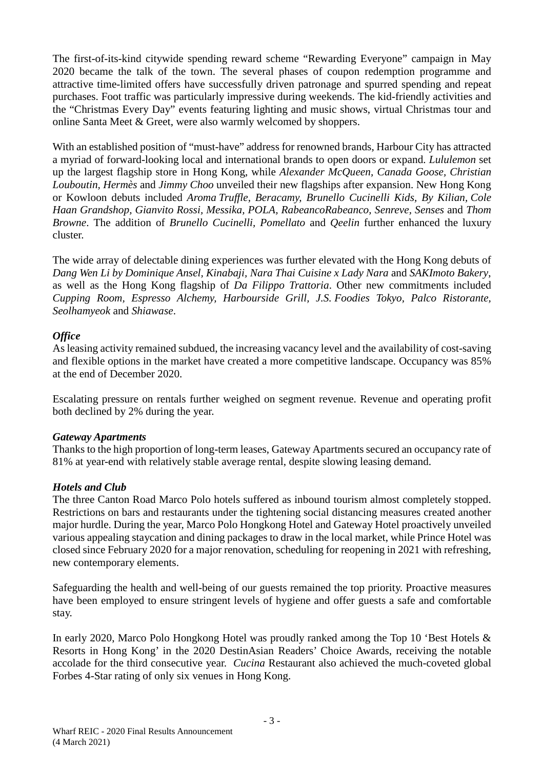The first-of-its-kind citywide spending reward scheme "Rewarding Everyone" campaign in May 2020 became the talk of the town. The several phases of coupon redemption programme and attractive time-limited offers have successfully driven patronage and spurred spending and repeat purchases. Foot traffic was particularly impressive during weekends. The kid-friendly activities and the "Christmas Every Day" events featuring lighting and music shows, virtual Christmas tour and online Santa Meet & Greet, were also warmly welcomed by shoppers.

With an established position of "must-have" address for renowned brands, Harbour City has attracted a myriad of forward-looking local and international brands to open doors or expand. *Lululemon* set up the largest flagship store in Hong Kong, while *Alexander McQueen, Canada Goose, Christian Louboutin, Hermès* and *Jimmy Choo* unveiled their new flagships after expansion. New Hong Kong or Kowloon debuts included *Aroma Truffle, Beracamy, Brunello Cucinelli Kids, By Kilian, Cole Haan Grandshop, Gianvito Rossi, Messika, POLA, RabeancoRabeanco, Senreve, Senses* and *Thom Browne*. The addition of *Brunello Cucinelli, Pomellato* and *Qeelin* further enhanced the luxury cluster.

The wide array of delectable dining experiences was further elevated with the Hong Kong debuts of *Dang Wen Li by Dominique Ansel, Kinabaji, Nara Thai Cuisine x Lady Nara* and *SAKImoto Bakery*, as well as the Hong Kong flagship of *Da Filippo Trattoria*. Other new commitments included *Cupping Room, Espresso Alchemy, Harbourside Grill, J.S. Foodies Tokyo, Palco Ristorante, Seolhamyeok* and *Shiawase*.

## *Office*

As leasing activity remained subdued, the increasing vacancy level and the availability of cost-saving and flexible options in the market have created a more competitive landscape. Occupancy was 85% at the end of December 2020.

Escalating pressure on rentals further weighed on segment revenue. Revenue and operating profit both declined by 2% during the year.

## *Gateway Apartments*

Thanks to the high proportion of long-term leases, Gateway Apartments secured an occupancy rate of 81% at year-end with relatively stable average rental, despite slowing leasing demand.

## *Hotels and Club*

The three Canton Road Marco Polo hotels suffered as inbound tourism almost completely stopped. Restrictions on bars and restaurants under the tightening social distancing measures created another major hurdle. During the year, Marco Polo Hongkong Hotel and Gateway Hotel proactively unveiled various appealing staycation and dining packages to draw in the local market, while Prince Hotel was closed since February 2020 for a major renovation, scheduling for reopening in 2021 with refreshing, new contemporary elements.

Safeguarding the health and well-being of our guests remained the top priority. Proactive measures have been employed to ensure stringent levels of hygiene and offer guests a safe and comfortable stay.

In early 2020, Marco Polo Hongkong Hotel was proudly ranked among the Top 10 'Best Hotels & Resorts in Hong Kong' in the 2020 DestinAsian Readers' Choice Awards, receiving the notable accolade for the third consecutive year. *Cucina* Restaurant also achieved the much-coveted global Forbes 4-Star rating of only six venues in Hong Kong.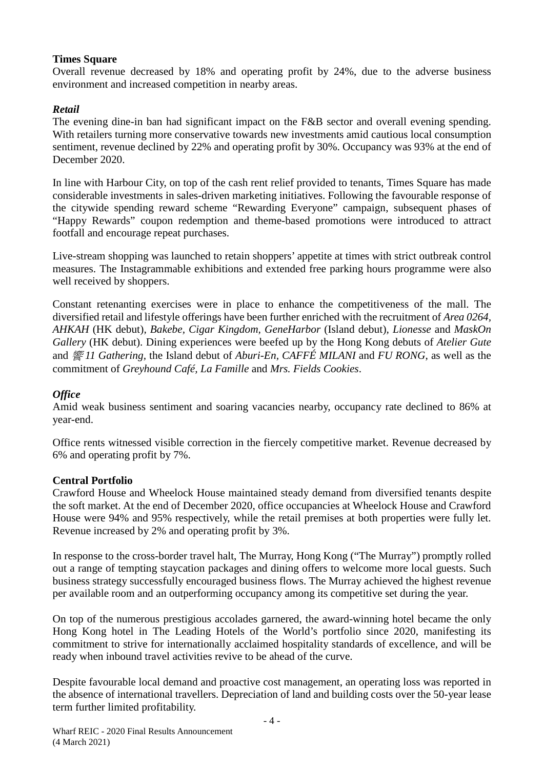## **Times Square**

Overall revenue decreased by 18% and operating profit by 24%, due to the adverse business environment and increased competition in nearby areas.

# *Retail*

The evening dine-in ban had significant impact on the F&B sector and overall evening spending. With retailers turning more conservative towards new investments amid cautious local consumption sentiment, revenue declined by 22% and operating profit by 30%. Occupancy was 93% at the end of December 2020.

In line with Harbour City, on top of the cash rent relief provided to tenants, Times Square has made considerable investments in sales-driven marketing initiatives. Following the favourable response of the citywide spending reward scheme "Rewarding Everyone" campaign, subsequent phases of "Happy Rewards" coupon redemption and theme-based promotions were introduced to attract footfall and encourage repeat purchases.

Live-stream shopping was launched to retain shoppers' appetite at times with strict outbreak control measures. The Instagrammable exhibitions and extended free parking hours programme were also well received by shoppers.

Constant retenanting exercises were in place to enhance the competitiveness of the mall. The diversified retail and lifestyle offerings have been further enriched with the recruitment of *Area 0264, AHKAH* (HK debut)*, Bakebe, Cigar Kingdom, GeneHarbor* (Island debut)*, Lionesse* and *MaskOn Gallery* (HK debut). Dining experiences were beefed up by the Hong Kong debuts of *Atelier Gute* and 饗 *11 Gathering*, the Island debut of *Aburi-En, CAFFÉ MILANI* and *FU RONG*, as well as the commitment of *Greyhound Café, La Famille* and *Mrs. Fields Cookies*.

# *Office*

Amid weak business sentiment and soaring vacancies nearby, occupancy rate declined to 86% at year-end.

Office rents witnessed visible correction in the fiercely competitive market. Revenue decreased by 6% and operating profit by 7%.

# **Central Portfolio**

Crawford House and Wheelock House maintained steady demand from diversified tenants despite the soft market. At the end of December 2020, office occupancies at Wheelock House and Crawford House were 94% and 95% respectively, while the retail premises at both properties were fully let. Revenue increased by 2% and operating profit by 3%.

In response to the cross-border travel halt, The Murray, Hong Kong ("The Murray") promptly rolled out a range of tempting staycation packages and dining offers to welcome more local guests. Such business strategy successfully encouraged business flows. The Murray achieved the highest revenue per available room and an outperforming occupancy among its competitive set during the year.

On top of the numerous prestigious accolades garnered, the award-winning hotel became the only Hong Kong hotel in The Leading Hotels of the World's portfolio since 2020, manifesting its commitment to strive for internationally acclaimed hospitality standards of excellence, and will be ready when inbound travel activities revive to be ahead of the curve.

Despite favourable local demand and proactive cost management, an operating loss was reported in the absence of international travellers. Depreciation of land and building costs over the 50-year lease term further limited profitability.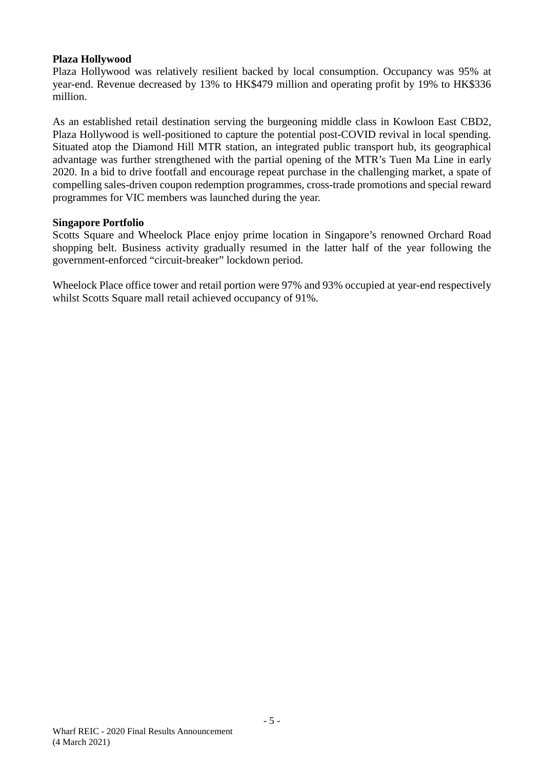## **Plaza Hollywood**

Plaza Hollywood was relatively resilient backed by local consumption. Occupancy was 95% at year-end. Revenue decreased by 13% to HK\$479 million and operating profit by 19% to HK\$336 million.

As an established retail destination serving the burgeoning middle class in Kowloon East CBD2, Plaza Hollywood is well-positioned to capture the potential post-COVID revival in local spending. Situated atop the Diamond Hill MTR station, an integrated public transport hub, its geographical advantage was further strengthened with the partial opening of the MTR's Tuen Ma Line in early 2020. In a bid to drive footfall and encourage repeat purchase in the challenging market, a spate of compelling sales-driven coupon redemption programmes, cross-trade promotions and special reward programmes for VIC members was launched during the year.

## **Singapore Portfolio**

Scotts Square and Wheelock Place enjoy prime location in Singapore's renowned Orchard Road shopping belt. Business activity gradually resumed in the latter half of the year following the government-enforced "circuit-breaker" lockdown period.

Wheelock Place office tower and retail portion were 97% and 93% occupied at year-end respectively whilst Scotts Square mall retail achieved occupancy of 91%.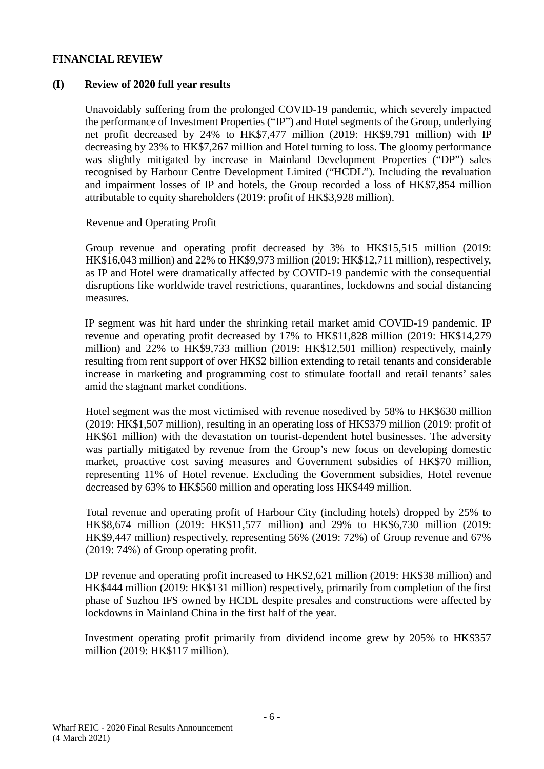## **FINANCIAL REVIEW**

## **(I) Review of 2020 full year results**

Unavoidably suffering from the prolonged COVID-19 pandemic, which severely impacted the performance of Investment Properties ("IP") and Hotel segments of the Group, underlying net profit decreased by 24% to HK\$7,477 million (2019: HK\$9,791 million) with IP decreasing by 23% to HK\$7,267 million and Hotel turning to loss. The gloomy performance was slightly mitigated by increase in Mainland Development Properties ("DP") sales recognised by Harbour Centre Development Limited ("HCDL"). Including the revaluation and impairment losses of IP and hotels, the Group recorded a loss of HK\$7,854 million attributable to equity shareholders (2019: profit of HK\$3,928 million).

## Revenue and Operating Profit

Group revenue and operating profit decreased by 3% to HK\$15,515 million (2019: HK\$16,043 million) and 22% to HK\$9,973 million (2019: HK\$12,711 million), respectively, as IP and Hotel were dramatically affected by COVID-19 pandemic with the consequential disruptions like worldwide travel restrictions, quarantines, lockdowns and social distancing measures.

IP segment was hit hard under the shrinking retail market amid COVID-19 pandemic. IP revenue and operating profit decreased by 17% to HK\$11,828 million (2019: HK\$14,279 million) and 22% to HK\$9,733 million (2019: HK\$12,501 million) respectively, mainly resulting from rent support of over HK\$2 billion extending to retail tenants and considerable increase in marketing and programming cost to stimulate footfall and retail tenants' sales amid the stagnant market conditions.

Hotel segment was the most victimised with revenue nosedived by 58% to HK\$630 million (2019: HK\$1,507 million), resulting in an operating loss of HK\$379 million (2019: profit of HK\$61 million) with the devastation on tourist-dependent hotel businesses. The adversity was partially mitigated by revenue from the Group's new focus on developing domestic market, proactive cost saving measures and Government subsidies of HK\$70 million, representing 11% of Hotel revenue. Excluding the Government subsidies, Hotel revenue decreased by 63% to HK\$560 million and operating loss HK\$449 million.

Total revenue and operating profit of Harbour City (including hotels) dropped by 25% to HK\$8,674 million (2019: HK\$11,577 million) and 29% to HK\$6,730 million (2019: HK\$9,447 million) respectively, representing 56% (2019: 72%) of Group revenue and 67% (2019: 74%) of Group operating profit.

DP revenue and operating profit increased to HK\$2,621 million (2019: HK\$38 million) and HK\$444 million (2019: HK\$131 million) respectively, primarily from completion of the first phase of Suzhou IFS owned by HCDL despite presales and constructions were affected by lockdowns in Mainland China in the first half of the year.

Investment operating profit primarily from dividend income grew by 205% to HK\$357 million (2019: HK\$117 million).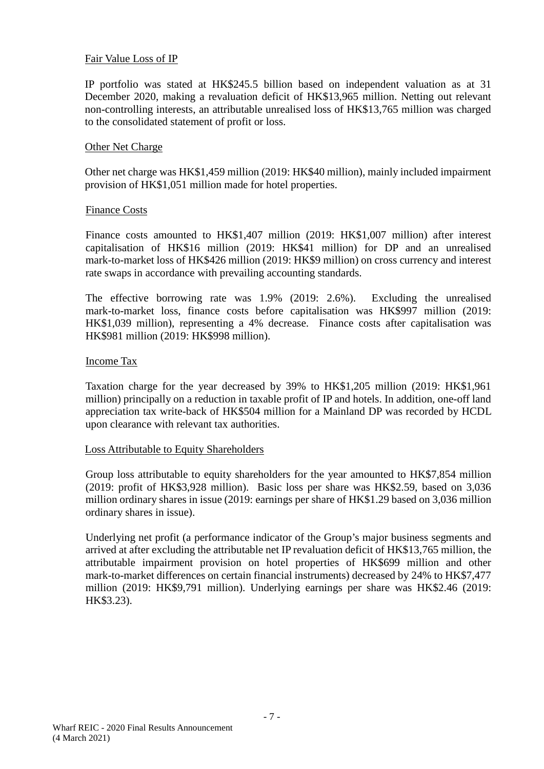#### Fair Value Loss of IP

IP portfolio was stated at HK\$245.5 billion based on independent valuation as at 31 December 2020, making a revaluation deficit of HK\$13,965 million. Netting out relevant non-controlling interests, an attributable unrealised loss of HK\$13,765 million was charged to the consolidated statement of profit or loss.

#### Other Net Charge

Other net charge was HK\$1,459 million (2019: HK\$40 million), mainly included impairment provision of HK\$1,051 million made for hotel properties.

#### Finance Costs

Finance costs amounted to HK\$1,407 million (2019: HK\$1,007 million) after interest capitalisation of HK\$16 million (2019: HK\$41 million) for DP and an unrealised mark-to-market loss of HK\$426 million (2019: HK\$9 million) on cross currency and interest rate swaps in accordance with prevailing accounting standards.

The effective borrowing rate was 1.9% (2019: 2.6%). Excluding the unrealised mark-to-market loss, finance costs before capitalisation was HK\$997 million (2019: HK\$1,039 million), representing a 4% decrease. Finance costs after capitalisation was HK\$981 million (2019: HK\$998 million).

#### Income Tax

Taxation charge for the year decreased by 39% to HK\$1,205 million (2019: HK\$1,961 million) principally on a reduction in taxable profit of IP and hotels. In addition, one-off land appreciation tax write-back of HK\$504 million for a Mainland DP was recorded by HCDL upon clearance with relevant tax authorities.

#### Loss Attributable to Equity Shareholders

Group loss attributable to equity shareholders for the year amounted to HK\$7,854 million (2019: profit of HK\$3,928 million). Basic loss per share was HK\$2.59, based on 3,036 million ordinary shares in issue (2019: earnings per share of HK\$1.29 based on 3,036 million ordinary shares in issue).

Underlying net profit (a performance indicator of the Group's major business segments and arrived at after excluding the attributable net IP revaluation deficit of HK\$13,765 million, the attributable impairment provision on hotel properties of HK\$699 million and other mark-to-market differences on certain financial instruments) decreased by 24% to HK\$7,477 million (2019: HK\$9,791 million). Underlying earnings per share was HK\$2.46 (2019: HK\$3.23).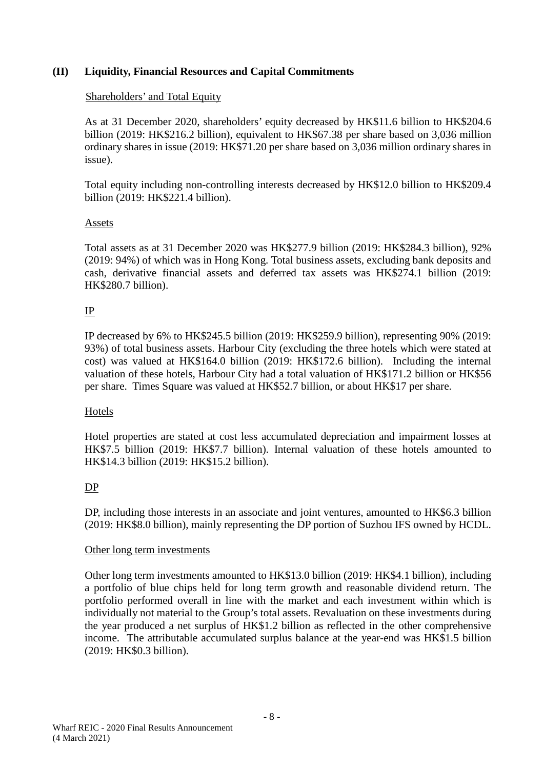## **(II) Liquidity, Financial Resources and Capital Commitments**

#### Shareholders' and Total Equity

As at 31 December 2020, shareholders' equity decreased by HK\$11.6 billion to HK\$204.6 billion (2019: HK\$216.2 billion), equivalent to HK\$67.38 per share based on 3,036 million ordinary shares in issue (2019: HK\$71.20 per share based on 3,036 million ordinary shares in issue).

Total equity including non-controlling interests decreased by HK\$12.0 billion to HK\$209.4 billion (2019: HK\$221.4 billion).

## Assets

Total assets as at 31 December 2020 was HK\$277.9 billion (2019: HK\$284.3 billion), 92% (2019: 94%) of which was in Hong Kong. Total business assets, excluding bank deposits and cash, derivative financial assets and deferred tax assets was HK\$274.1 billion (2019: HK\$280.7 billion).

## IP

IP decreased by 6% to HK\$245.5 billion (2019: HK\$259.9 billion), representing 90% (2019: 93%) of total business assets. Harbour City (excluding the three hotels which were stated at cost) was valued at HK\$164.0 billion (2019: HK\$172.6 billion). Including the internal valuation of these hotels, Harbour City had a total valuation of HK\$171.2 billion or HK\$56 per share. Times Square was valued at HK\$52.7 billion, or about HK\$17 per share.

## Hotels

Hotel properties are stated at cost less accumulated depreciation and impairment losses at HK\$7.5 billion (2019: HK\$7.7 billion). Internal valuation of these hotels amounted to HK\$14.3 billion (2019: HK\$15.2 billion).

## DP

DP, including those interests in an associate and joint ventures, amounted to HK\$6.3 billion (2019: HK\$8.0 billion), mainly representing the DP portion of Suzhou IFS owned by HCDL.

#### Other long term investments

Other long term investments amounted to HK\$13.0 billion (2019: HK\$4.1 billion), including a portfolio of blue chips held for long term growth and reasonable dividend return. The portfolio performed overall in line with the market and each investment within which is individually not material to the Group's total assets. Revaluation on these investments during the year produced a net surplus of HK\$1.2 billion as reflected in the other comprehensive income. The attributable accumulated surplus balance at the year-end was HK\$1.5 billion (2019: HK\$0.3 billion).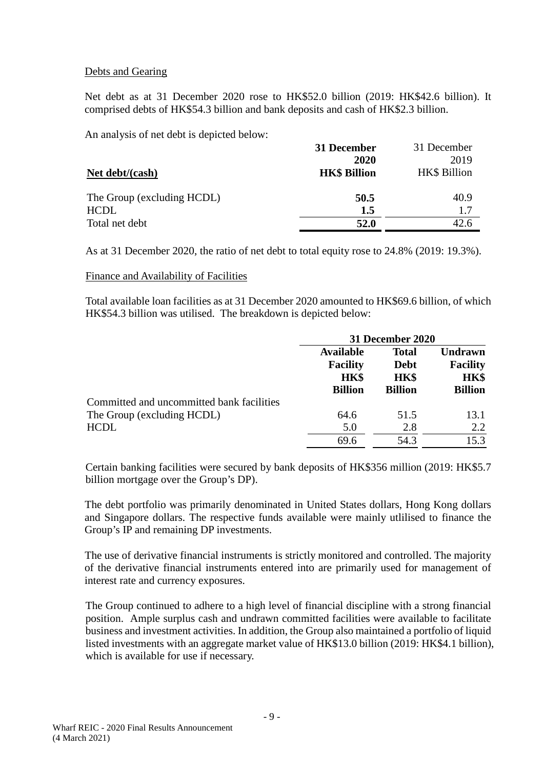## Debts and Gearing

Net debt as at 31 December 2020 rose to HK\$52.0 billion (2019: HK\$42.6 billion). It comprised debts of HK\$54.3 billion and bank deposits and cash of HK\$2.3 billion.

An analysis of net debt is depicted below:

|                            | 31 December         | 31 December         |
|----------------------------|---------------------|---------------------|
|                            | 2020                | 2019                |
| Net debt/(cash)            | <b>HK\$ Billion</b> | <b>HK\$</b> Billion |
| The Group (excluding HCDL) | 50.5                | 40.9                |
| <b>HCDL</b>                | 1.5                 | 1.7                 |
| Total net debt             | 52.0                | 42.6                |

As at 31 December 2020, the ratio of net debt to total equity rose to 24.8% (2019: 19.3%).

## Finance and Availability of Facilities

Total available loan facilities as at 31 December 2020 amounted to HK\$69.6 billion, of which HK\$54.3 billion was utilised. The breakdown is depicted below:

|                                           | 31 December 2020 |                |                 |  |
|-------------------------------------------|------------------|----------------|-----------------|--|
|                                           | <b>Available</b> | <b>Total</b>   | <b>Undrawn</b>  |  |
|                                           | <b>Facility</b>  | <b>Debt</b>    | <b>Facility</b> |  |
|                                           | <b>HK\$</b>      | <b>HK\$</b>    | HK\$            |  |
|                                           | <b>Billion</b>   | <b>Billion</b> | <b>Billion</b>  |  |
| Committed and uncommitted bank facilities |                  |                |                 |  |
| The Group (excluding HCDL)                | 64.6             | 51.5           | 13.1            |  |
| <b>HCDL</b>                               | 5.0              | 2.8            | 2.2             |  |
|                                           | 69.6             | 54.3           | 15.3            |  |

Certain banking facilities were secured by bank deposits of HK\$356 million (2019: HK\$5.7 billion mortgage over the Group's DP).

The debt portfolio was primarily denominated in United States dollars, Hong Kong dollars and Singapore dollars. The respective funds available were mainly utlilised to finance the Group's IP and remaining DP investments.

The use of derivative financial instruments is strictly monitored and controlled. The majority of the derivative financial instruments entered into are primarily used for management of interest rate and currency exposures.

The Group continued to adhere to a high level of financial discipline with a strong financial position. Ample surplus cash and undrawn committed facilities were available to facilitate business and investment activities. In addition, the Group also maintained a portfolio of liquid listed investments with an aggregate market value of HK\$13.0 billion (2019: HK\$4.1 billion), which is available for use if necessary.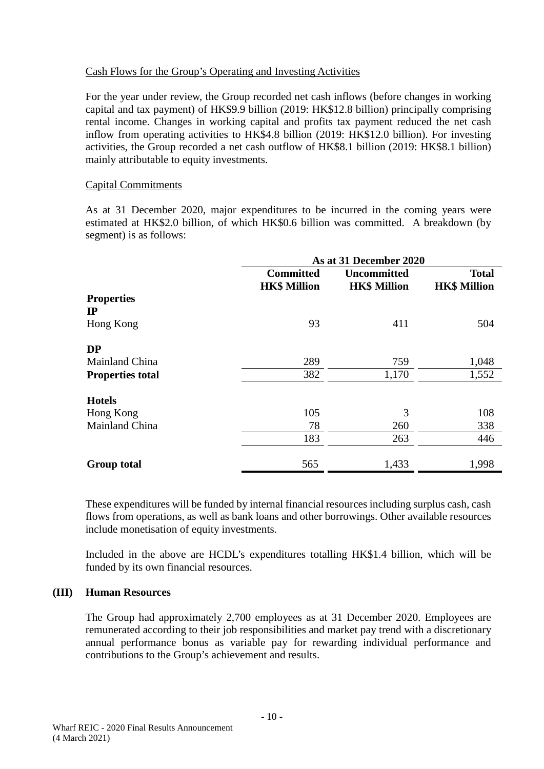## Cash Flows for the Group's Operating and Investing Activities

For the year under review, the Group recorded net cash inflows (before changes in working capital and tax payment) of HK\$9.9 billion (2019: HK\$12.8 billion) principally comprising rental income. Changes in working capital and profits tax payment reduced the net cash inflow from operating activities to HK\$4.8 billion (2019: HK\$12.0 billion). For investing activities, the Group recorded a net cash outflow of HK\$8.1 billion (2019: HK\$8.1 billion) mainly attributable to equity investments.

## Capital Commitments

As at 31 December 2020, major expenditures to be incurred in the coming years were estimated at HK\$2.0 billion, of which HK\$0.6 billion was committed. A breakdown (by segment) is as follows:

|                         | As at 31 December 2020                  |                                           |                                     |  |  |
|-------------------------|-----------------------------------------|-------------------------------------------|-------------------------------------|--|--|
|                         | <b>Committed</b><br><b>HK\$ Million</b> | <b>Uncommitted</b><br><b>HK\$ Million</b> | <b>Total</b><br><b>HK\$ Million</b> |  |  |
| <b>Properties</b><br>IP |                                         |                                           |                                     |  |  |
| Hong Kong               | 93                                      | 411                                       | 504                                 |  |  |
| <b>DP</b>               |                                         |                                           |                                     |  |  |
| Mainland China          | 289                                     | 759                                       | 1,048                               |  |  |
| <b>Properties total</b> | 382                                     | 1,170                                     | 1,552                               |  |  |
| <b>Hotels</b>           |                                         |                                           |                                     |  |  |
| Hong Kong               | 105                                     | 3                                         | 108                                 |  |  |
| Mainland China          | 78                                      | 260                                       | 338                                 |  |  |
|                         | 183                                     | 263                                       | 446                                 |  |  |
| <b>Group total</b>      | 565                                     | 1,433                                     | 1,998                               |  |  |

These expenditures will be funded by internal financial resources including surplus cash, cash flows from operations, as well as bank loans and other borrowings. Other available resources include monetisation of equity investments.

Included in the above are HCDL's expenditures totalling HK\$1.4 billion, which will be funded by its own financial resources.

#### **(III) Human Resources**

The Group had approximately 2,700 employees as at 31 December 2020. Employees are remunerated according to their job responsibilities and market pay trend with a discretionary annual performance bonus as variable pay for rewarding individual performance and contributions to the Group's achievement and results.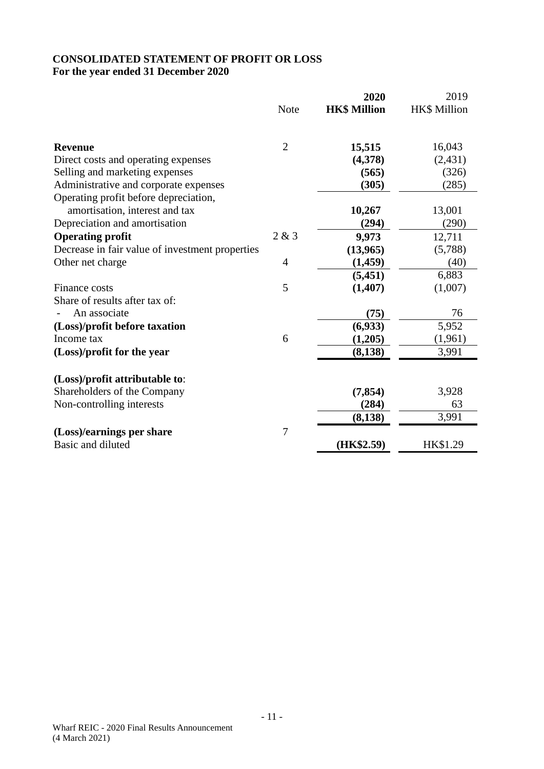# **CONSOLIDATED STATEMENT OF PROFIT OR LOSS For the year ended 31 December 2020**

|                                                 |                | 2020                | 2019         |
|-------------------------------------------------|----------------|---------------------|--------------|
|                                                 | <b>Note</b>    | <b>HK\$ Million</b> | HK\$ Million |
| <b>Revenue</b>                                  | $\overline{2}$ | 15,515              | 16,043       |
| Direct costs and operating expenses             |                | (4,378)             | (2, 431)     |
| Selling and marketing expenses                  |                | (565)               | (326)        |
| Administrative and corporate expenses           |                | (305)               | (285)        |
| Operating profit before depreciation,           |                |                     |              |
| amortisation, interest and tax                  |                | 10,267              | 13,001       |
| Depreciation and amortisation                   |                | (294)               | (290)        |
| <b>Operating profit</b>                         | 2 & 3          | 9,973               | 12,711       |
| Decrease in fair value of investment properties |                | (13,965)            | (5,788)      |
| Other net charge                                | $\overline{4}$ | (1,459)             | (40)         |
|                                                 |                | (5, 451)            | 6,883        |
| Finance costs                                   | 5              | (1, 407)            | (1,007)      |
| Share of results after tax of:                  |                |                     |              |
| An associate                                    |                | (75)                | 76           |
| (Loss)/profit before taxation                   |                | (6,933)             | 5,952        |
| Income tax                                      | 6              | (1,205)             | (1,961)      |
| (Loss)/profit for the year                      |                | (8, 138)            | 3,991        |
| (Loss)/profit attributable to:                  |                |                     |              |
| Shareholders of the Company                     |                | (7, 854)            | 3,928        |
| Non-controlling interests                       |                | (284)               | 63           |
|                                                 |                | (8, 138)            | 3,991        |
| (Loss)/earnings per share                       | 7              |                     |              |
| Basic and diluted                               |                | (HK\$2.59)          | HK\$1.29     |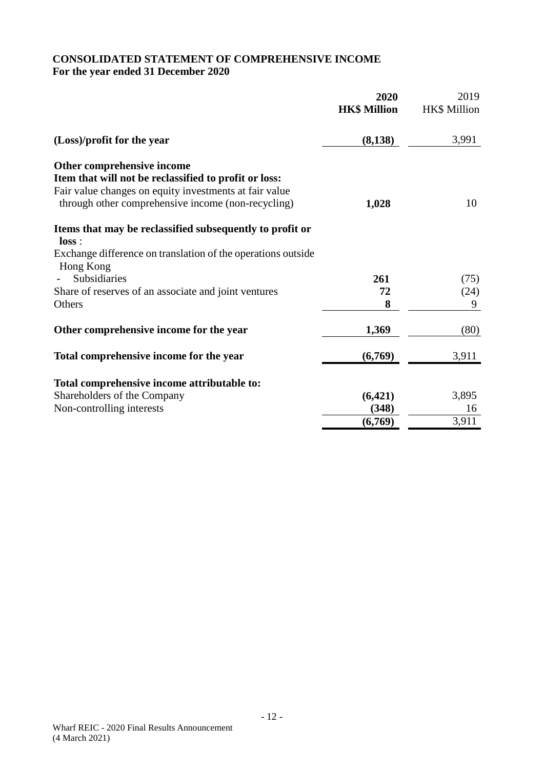# **CONSOLIDATED STATEMENT OF COMPREHENSIVE INCOME For the year ended 31 December 2020**

|                                                                                                                                                                                                     | 2020<br><b>HK\$ Million</b> | 2019<br><b>HK\$</b> Million |
|-----------------------------------------------------------------------------------------------------------------------------------------------------------------------------------------------------|-----------------------------|-----------------------------|
| (Loss)/profit for the year                                                                                                                                                                          | (8,138)                     | 3,991                       |
| Other comprehensive income<br>Item that will not be reclassified to profit or loss:<br>Fair value changes on equity investments at fair value<br>through other comprehensive income (non-recycling) | 1,028                       | 10                          |
| Items that may be reclassified subsequently to profit or<br>loss:<br>Exchange difference on translation of the operations outside<br>Hong Kong                                                      |                             |                             |
| Subsidiaries                                                                                                                                                                                        | 261                         | (75)                        |
| Share of reserves of an associate and joint ventures                                                                                                                                                | 72                          | (24)                        |
| Others                                                                                                                                                                                              | 8                           | 9                           |
| Other comprehensive income for the year                                                                                                                                                             | 1,369                       | (80)                        |
| Total comprehensive income for the year                                                                                                                                                             | (6,769)                     | 3,911                       |
| Total comprehensive income attributable to:                                                                                                                                                         |                             |                             |
| Shareholders of the Company                                                                                                                                                                         | (6,421)                     | 3,895                       |
| Non-controlling interests                                                                                                                                                                           | (348)                       | 16                          |
|                                                                                                                                                                                                     | (6,769)                     | 3,911                       |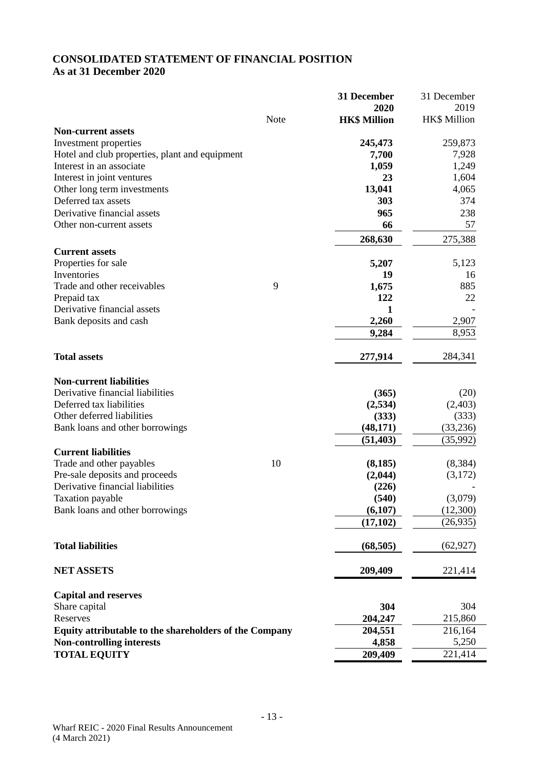## **CONSOLIDATED STATEMENT OF FINANCIAL POSITION As at 31 December 2020**

|                                                        |      | 31 December         | 31 December  |
|--------------------------------------------------------|------|---------------------|--------------|
|                                                        |      | 2020                | 2019         |
|                                                        | Note | <b>HK\$ Million</b> | HK\$ Million |
| <b>Non-current assets</b>                              |      |                     |              |
| Investment properties                                  |      | 245,473             | 259,873      |
| Hotel and club properties, plant and equipment         |      | 7,700               | 7,928        |
| Interest in an associate                               |      | 1,059               | 1,249        |
| Interest in joint ventures                             |      | 23                  | 1,604        |
| Other long term investments                            |      | 13,041              | 4,065        |
| Deferred tax assets                                    |      | 303                 | 374          |
| Derivative financial assets                            |      | 965                 | 238          |
| Other non-current assets                               |      | 66                  | 57           |
|                                                        |      | 268,630             | 275,388      |
| <b>Current assets</b>                                  |      |                     |              |
| Properties for sale                                    |      | 5,207               | 5,123        |
| Inventories                                            |      | 19                  | 16           |
| Trade and other receivables                            | 9    | 1,675               | 885          |
| Prepaid tax                                            |      | 122                 | 22           |
| Derivative financial assets                            |      | 1                   |              |
| Bank deposits and cash                                 |      | 2,260               | 2,907        |
|                                                        |      | 9,284               | 8,953        |
|                                                        |      |                     |              |
| <b>Total assets</b>                                    |      | 277,914             | 284,341      |
| <b>Non-current liabilities</b>                         |      |                     |              |
| Derivative financial liabilities                       |      | (365)               | (20)         |
| Deferred tax liabilities                               |      | (2,534)             | (2,403)      |
| Other deferred liabilities                             |      | (333)               | (333)        |
| Bank loans and other borrowings                        |      | (48, 171)           | (33,236)     |
|                                                        |      | (51, 403)           | (35,992)     |
| <b>Current liabilities</b>                             |      |                     |              |
| Trade and other payables                               | 10   | (8, 185)            | (8, 384)     |
| Pre-sale deposits and proceeds                         |      | (2,044)             | (3,172)      |
| Derivative financial liabilities                       |      | (226)               |              |
| Taxation payable                                       |      | (540)               | (3,079)      |
| Bank loans and other borrowings                        |      | (6,107)             | (12,300)     |
|                                                        |      | (17, 102)           | (26, 935)    |
| <b>Total liabilities</b>                               |      | (68, 505)           | (62, 927)    |
| <b>NET ASSETS</b>                                      |      | 209,409             | 221,414      |
| <b>Capital and reserves</b>                            |      |                     |              |
| Share capital                                          |      | 304                 | 304          |
| Reserves                                               |      | 204,247             | 215,860      |
| Equity attributable to the shareholders of the Company |      | 204,551             | 216,164      |
| <b>Non-controlling interests</b>                       |      | 4,858               | 5,250        |
| <b>TOTAL EQUITY</b>                                    |      | 209,409             | 221,414      |
|                                                        |      |                     |              |

 $\overline{\phantom{0}}$ 

 $\mathcal{L}_{\mathcal{A}}$ i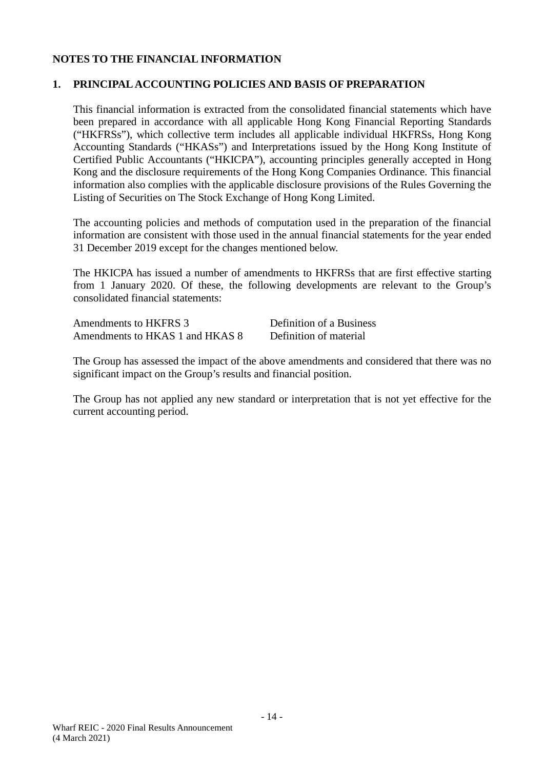## **NOTES TO THE FINANCIAL INFORMATION**

## **1. PRINCIPAL ACCOUNTING POLICIES AND BASIS OF PREPARATION**

This financial information is extracted from the consolidated financial statements which have been prepared in accordance with all applicable Hong Kong Financial Reporting Standards ("HKFRSs"), which collective term includes all applicable individual HKFRSs, Hong Kong Accounting Standards ("HKASs") and Interpretations issued by the Hong Kong Institute of Certified Public Accountants ("HKICPA"), accounting principles generally accepted in Hong Kong and the disclosure requirements of the Hong Kong Companies Ordinance. This financial information also complies with the applicable disclosure provisions of the Rules Governing the Listing of Securities on The Stock Exchange of Hong Kong Limited.

The accounting policies and methods of computation used in the preparation of the financial information are consistent with those used in the annual financial statements for the year ended 31 December 2019 except for the changes mentioned below.

The HKICPA has issued a number of amendments to HKFRSs that are first effective starting from 1 January 2020. Of these, the following developments are relevant to the Group's consolidated financial statements:

| Amendments to HKFRS 3           | Definition of a Business |
|---------------------------------|--------------------------|
| Amendments to HKAS 1 and HKAS 8 | Definition of material   |

The Group has assessed the impact of the above amendments and considered that there was no significant impact on the Group's results and financial position.

The Group has not applied any new standard or interpretation that is not yet effective for the current accounting period.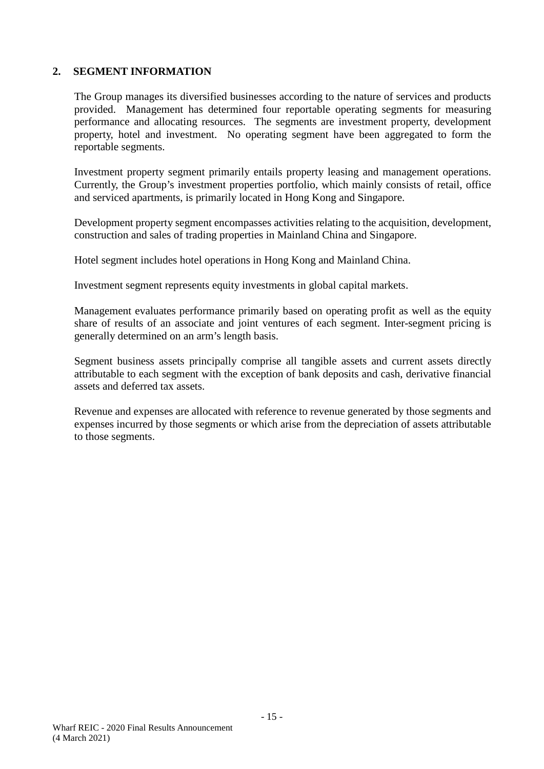The Group manages its diversified businesses according to the nature of services and products provided. Management has determined four reportable operating segments for measuring performance and allocating resources. The segments are investment property, development property, hotel and investment. No operating segment have been aggregated to form the reportable segments.

Investment property segment primarily entails property leasing and management operations. Currently, the Group's investment properties portfolio, which mainly consists of retail, office and serviced apartments, is primarily located in Hong Kong and Singapore.

Development property segment encompasses activities relating to the acquisition, development, construction and sales of trading properties in Mainland China and Singapore.

Hotel segment includes hotel operations in Hong Kong and Mainland China.

Investment segment represents equity investments in global capital markets.

Management evaluates performance primarily based on operating profit as well as the equity share of results of an associate and joint ventures of each segment. Inter-segment pricing is generally determined on an arm's length basis.

Segment business assets principally comprise all tangible assets and current assets directly attributable to each segment with the exception of bank deposits and cash, derivative financial assets and deferred tax assets.

Revenue and expenses are allocated with reference to revenue generated by those segments and expenses incurred by those segments or which arise from the depreciation of assets attributable to those segments.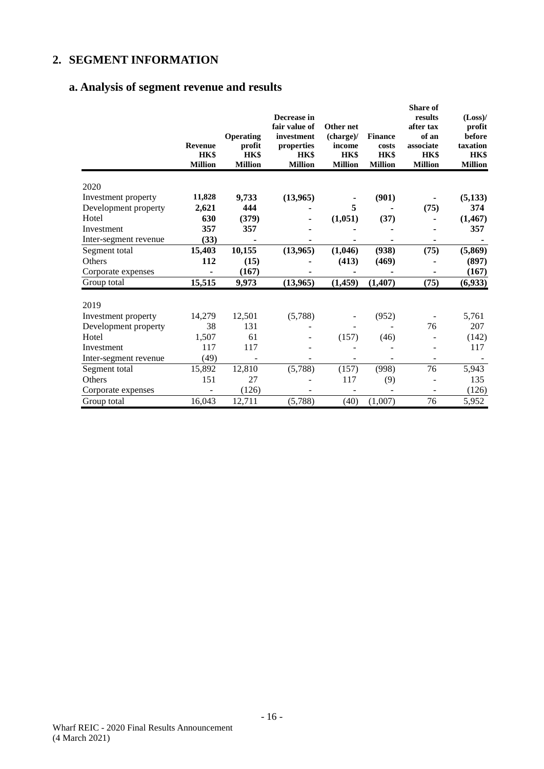# **a. Analysis of segment revenue and results**

|                       | Revenue<br>HK\$<br><b>Million</b> | Operating<br>profit<br><b>HK\$</b><br><b>Million</b> | Decrease in<br>fair value of<br>investment<br>properties<br>HK\$<br><b>Million</b> | Other net<br>(charge)/<br>income<br>HK\$<br><b>Million</b> | <b>Finance</b><br>costs<br>HK\$<br><b>Million</b> | <b>Share of</b><br>results<br>after tax<br>of an<br>associate<br><b>HK\$</b><br><b>Million</b> | $(Loss)$ /<br>profit<br>before<br>taxation<br>HK\$<br><b>Million</b> |
|-----------------------|-----------------------------------|------------------------------------------------------|------------------------------------------------------------------------------------|------------------------------------------------------------|---------------------------------------------------|------------------------------------------------------------------------------------------------|----------------------------------------------------------------------|
| 2020                  |                                   |                                                      |                                                                                    |                                                            |                                                   |                                                                                                |                                                                      |
| Investment property   | 11,828                            | 9,733                                                | (13,965)                                                                           |                                                            | (901)                                             |                                                                                                | (5, 133)                                                             |
| Development property  | 2,621                             | 444                                                  |                                                                                    | 5                                                          |                                                   | (75)                                                                                           | 374                                                                  |
| Hotel                 | 630                               | (379)                                                |                                                                                    | (1,051)                                                    | (37)                                              |                                                                                                | (1, 467)                                                             |
| Investment            | 357                               | 357                                                  |                                                                                    |                                                            |                                                   |                                                                                                | 357                                                                  |
| Inter-segment revenue | (33)                              |                                                      |                                                                                    |                                                            |                                                   |                                                                                                |                                                                      |
| Segment total         | 15,403                            | 10,155                                               | (13,965)                                                                           | (1,046)                                                    | (938)                                             | (75)                                                                                           | (5,869)                                                              |
| Others                | 112                               | (15)                                                 |                                                                                    | (413)                                                      | (469)                                             |                                                                                                | (897)                                                                |
| Corporate expenses    |                                   | (167)                                                |                                                                                    |                                                            |                                                   |                                                                                                | (167)                                                                |
| Group total           | 15,515                            | 9,973                                                | (13,965)                                                                           | (1, 459)                                                   | (1, 407)                                          | (75)                                                                                           | (6,933)                                                              |
| 2019                  |                                   |                                                      |                                                                                    |                                                            |                                                   |                                                                                                |                                                                      |
| Investment property   | 14,279                            | 12,501                                               | (5,788)                                                                            |                                                            | (952)                                             |                                                                                                | 5,761                                                                |
| Development property  | 38                                | 131                                                  |                                                                                    |                                                            |                                                   | 76                                                                                             | 207                                                                  |
| Hotel                 | 1,507                             | 61                                                   |                                                                                    | (157)                                                      | (46)                                              |                                                                                                | (142)                                                                |
| Investment            | 117                               | 117                                                  |                                                                                    |                                                            |                                                   |                                                                                                | 117                                                                  |
| Inter-segment revenue | (49)                              |                                                      |                                                                                    |                                                            |                                                   |                                                                                                |                                                                      |
| Segment total         | 15,892                            | 12,810                                               | (5,788)                                                                            | (157)                                                      | (998)                                             | 76                                                                                             | 5,943                                                                |
| Others                | 151                               | 27                                                   |                                                                                    | 117                                                        | (9)                                               |                                                                                                | 135                                                                  |
| Corporate expenses    |                                   | (126)                                                |                                                                                    |                                                            |                                                   |                                                                                                | (126)                                                                |
| Group total           | 16,043                            | 12,711                                               | (5,788)                                                                            | (40)                                                       | (1,007)                                           | 76                                                                                             | 5,952                                                                |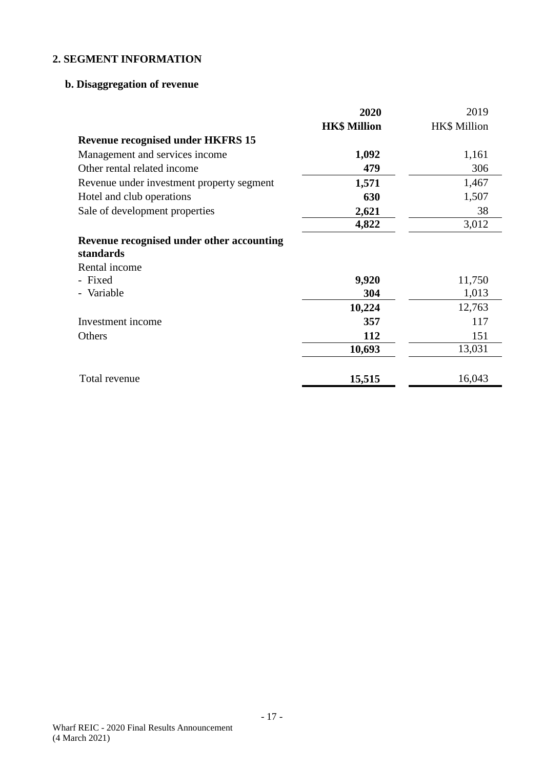# **b. Disaggregation of revenue**

|                                                        | 2020                | 2019                |
|--------------------------------------------------------|---------------------|---------------------|
|                                                        | <b>HK\$ Million</b> | <b>HK\$</b> Million |
| <b>Revenue recognised under HKFRS 15</b>               |                     |                     |
| Management and services income                         | 1,092               | 1,161               |
| Other rental related income                            | 479                 | 306                 |
| Revenue under investment property segment              | 1,571               | 1,467               |
| Hotel and club operations                              | 630                 | 1,507               |
| Sale of development properties                         | 2,621               | 38                  |
|                                                        | 4,822               | 3,012               |
| Revenue recognised under other accounting<br>standards |                     |                     |
| Rental income                                          |                     |                     |
| - Fixed                                                | 9,920               | 11,750              |
| - Variable                                             | 304                 | 1,013               |
|                                                        | 10,224              | 12,763              |
| Investment income                                      | 357                 | 117                 |
| Others                                                 | 112                 | 151                 |
|                                                        | 10,693              | 13,031              |
| Total revenue                                          | 15,515              | 16,043              |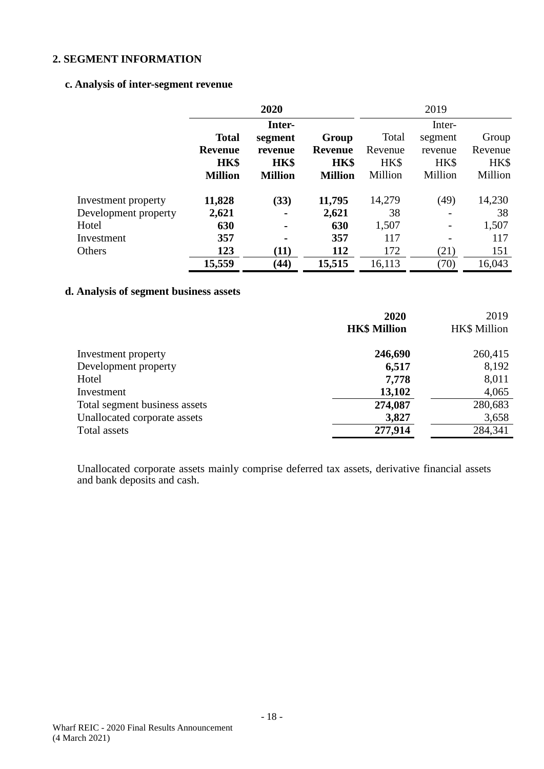## **c. Analysis of inter-segment revenue**

|                      | 2020           |                |                |         | 2019    |         |
|----------------------|----------------|----------------|----------------|---------|---------|---------|
|                      |                | Inter-         |                | Inter-  |         |         |
|                      | <b>Total</b>   | segment        | Group          | Total   | segment | Group   |
|                      | <b>Revenue</b> | revenue        | Revenue        | Revenue | revenue | Revenue |
|                      | <b>HK\$</b>    | HK\$           | HK\$           | HK\$    | HK\$    | HK\$    |
|                      | <b>Million</b> | <b>Million</b> | <b>Million</b> | Million | Million | Million |
| Investment property  | 11,828         | (33)           | 11,795         | 14,279  | (49)    | 14,230  |
| Development property | 2,621          | ۰              | 2,621          | 38      |         | 38      |
| Hotel                | 630            | $\blacksquare$ | 630            | 1,507   |         | 1,507   |
| Investment           | 357            |                | 357            | 117     |         | 117     |
| Others               | 123            | (11)           | 112            | 172     | (21)    | 151     |
|                      | 15,559         | (44)           | 15,515         | 16,113  | (70)    | 16,043  |

# **d. Analysis of segment business assets**

|                               | 2020                | 2019                |
|-------------------------------|---------------------|---------------------|
|                               | <b>HK\$ Million</b> | <b>HK\$</b> Million |
| Investment property           | 246,690             | 260,415             |
| Development property          | 6,517               | 8,192               |
| Hotel                         | 7,778               | 8,011               |
| Investment                    | 13,102              | 4,065               |
| Total segment business assets | 274,087             | 280,683             |
| Unallocated corporate assets  | 3,827               | 3,658               |
| Total assets                  | 277,914             | 284,341             |

Unallocated corporate assets mainly comprise deferred tax assets, derivative financial assets and bank deposits and cash.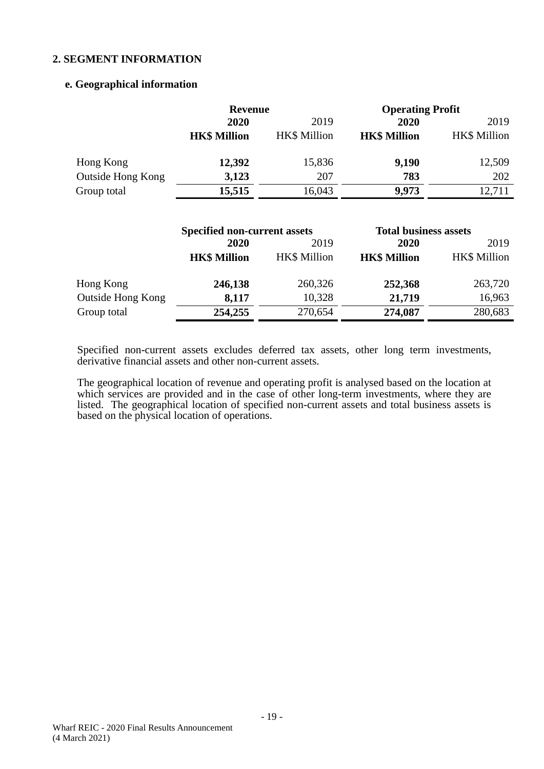## **e. Geographical information**

|                   | <b>Revenue</b>      |              | <b>Operating Profit</b> |                     |
|-------------------|---------------------|--------------|-------------------------|---------------------|
|                   | 2020<br>2019        |              | 2020                    | 2019                |
|                   | <b>HK\$ Million</b> | HK\$ Million | <b>HK\$ Million</b>     | <b>HK\$ Million</b> |
| Hong Kong         | 12,392              | 15,836       | 9,190                   | 12,509              |
| Outside Hong Kong | 3,123               | 207          | 783                     | 202                 |
| Group total       | 15,515              | 16,043       | 9,973                   | 12,711              |

|                          | <b>Specified non-current assets</b> |                     |                     | <b>Total business assets</b> |  |
|--------------------------|-------------------------------------|---------------------|---------------------|------------------------------|--|
|                          | 2020                                | 2019                | 2020                | 2019                         |  |
|                          | <b>HK\$ Million</b>                 | <b>HK\$</b> Million | <b>HK\$ Million</b> | <b>HK\$</b> Million          |  |
| Hong Kong                | 246,138                             | 260,326             | 252,368             | 263,720                      |  |
| <b>Outside Hong Kong</b> | 8,117                               | 10,328              | 21,719              | 16,963                       |  |
| Group total              | 254,255                             | 270,654             | 274,087             | 280,683                      |  |

Specified non-current assets excludes deferred tax assets, other long term investments, derivative financial assets and other non-current assets.

The geographical location of revenue and operating profit is analysed based on the location at which services are provided and in the case of other long-term investments, where they are listed. The geographical location of specified non-current assets and total business assets is based on the physical location of operations.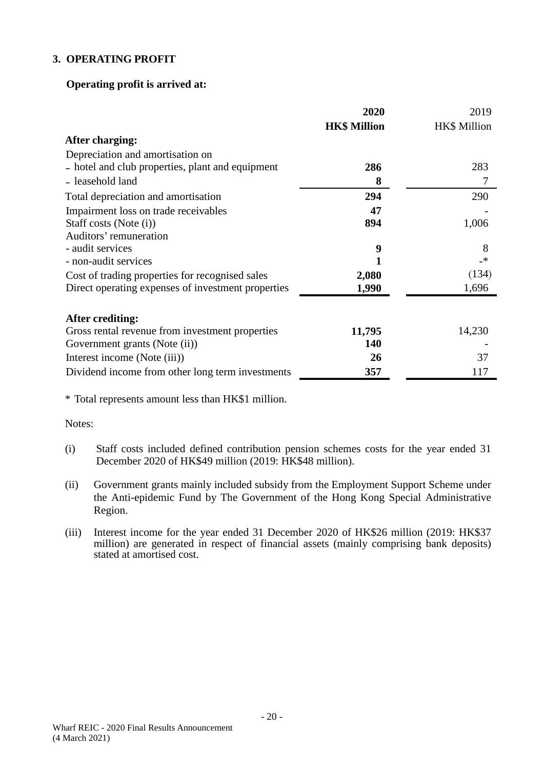## **3. OPERATING PROFIT**

## **Operating profit is arrived at:**

|                                                    | 2020                | 2019                |
|----------------------------------------------------|---------------------|---------------------|
|                                                    | <b>HK\$ Million</b> | <b>HK\$</b> Million |
| After charging:                                    |                     |                     |
| Depreciation and amortisation on                   |                     |                     |
| - hotel and club properties, plant and equipment   | 286                 | 283                 |
| - leasehold land                                   | 8                   |                     |
| Total depreciation and amortisation                | 294                 | 290                 |
| Impairment loss on trade receivables               | 47                  |                     |
| Staff costs (Note (i))                             | 894                 | 1,006               |
| Auditors' remuneration                             |                     |                     |
| - audit services                                   | 9                   | 8                   |
| - non-audit services                               |                     | _*                  |
| Cost of trading properties for recognised sales    | 2,080               | (134)               |
| Direct operating expenses of investment properties | 1,990               | 1,696               |
|                                                    |                     |                     |
| After crediting:                                   |                     |                     |
| Gross rental revenue from investment properties    | 11,795              | 14,230              |
| Government grants (Note (ii))                      | 140                 |                     |
| Interest income (Note (iii))                       | 26                  | 37                  |
| Dividend income from other long term investments   | 357                 | 117                 |

\* Total represents amount less than HK\$1 million.

Notes:

- (i) Staff costs included defined contribution pension schemes costs for the year ended 31 December 2020 of HK\$49 million (2019: HK\$48 million).
- (ii) Government grants mainly included subsidy from the Employment Support Scheme under the Anti-epidemic Fund by The Government of the Hong Kong Special Administrative Region.
- (iii) Interest income for the year ended 31 December 2020 of HK\$26 million (2019: HK\$37 million) are generated in respect of financial assets (mainly comprising bank deposits) stated at amortised cost.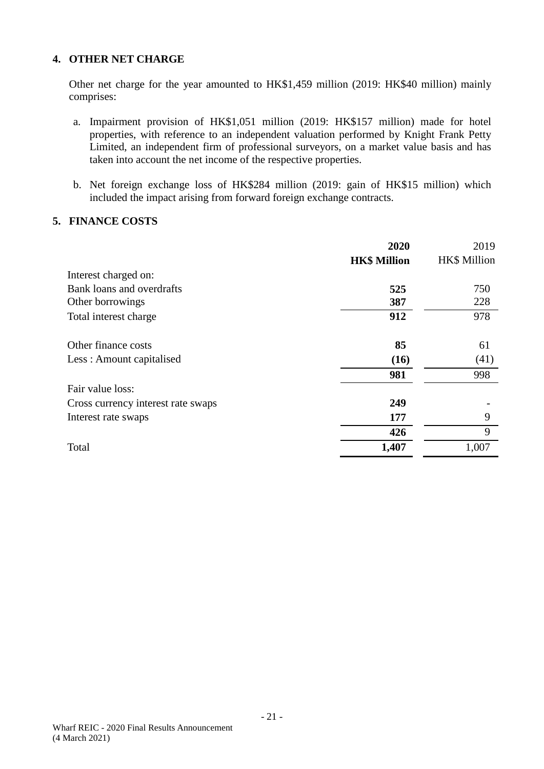## **4. OTHER NET CHARGE**

Other net charge for the year amounted to HK\$1,459 million (2019: HK\$40 million) mainly comprises:

- a. Impairment provision of HK\$1,051 million (2019: HK\$157 million) made for hotel properties, with reference to an independent valuation performed by Knight Frank Petty Limited, an independent firm of professional surveyors, on a market value basis and has taken into account the net income of the respective properties.
- b. Net foreign exchange loss of HK\$284 million (2019: gain of HK\$15 million) which included the impact arising from forward foreign exchange contracts.

## **5. FINANCE COSTS**

|                                    | 2020                | 2019                |
|------------------------------------|---------------------|---------------------|
|                                    | <b>HK\$ Million</b> | <b>HK\$</b> Million |
| Interest charged on:               |                     |                     |
| Bank loans and overdrafts          | 525                 | 750                 |
| Other borrowings                   | 387                 | 228                 |
| Total interest charge              | 912                 | 978                 |
| Other finance costs                | 85                  | 61                  |
| Less: Amount capitalised           | (16)                | (41)                |
|                                    | 981                 | 998                 |
| Fair value loss:                   |                     |                     |
| Cross currency interest rate swaps | 249                 |                     |
| Interest rate swaps                | 177                 | 9                   |
|                                    | 426                 | 9                   |
| Total                              | 1,407               | 1,007               |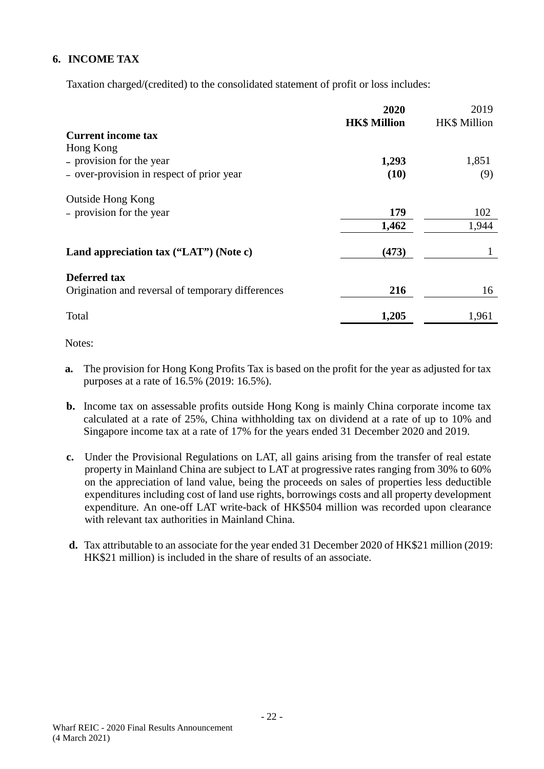# **6. INCOME TAX**

Taxation charged/(credited) to the consolidated statement of profit or loss includes:

|                                                   | 2020<br><b>HK\$ Million</b> | 2019<br>HK\$ Million |
|---------------------------------------------------|-----------------------------|----------------------|
| <b>Current income tax</b>                         |                             |                      |
| Hong Kong                                         |                             |                      |
| - provision for the year                          | 1,293                       | 1,851                |
| - over-provision in respect of prior year         | (10)                        | (9)                  |
| <b>Outside Hong Kong</b>                          |                             |                      |
| - provision for the year                          | 179                         | 102                  |
|                                                   | 1,462                       | 1,944                |
| Land appreciation tax ("LAT") (Note c)            | (473)                       |                      |
| Deferred tax                                      |                             |                      |
| Origination and reversal of temporary differences | 216                         | 16                   |
| Total                                             | 1,205                       | 1,961                |

Notes:

- **a.** The provision for Hong Kong Profits Tax is based on the profit for the year as adjusted for tax purposes at a rate of 16.5% (2019: 16.5%).
- **b.** Income tax on assessable profits outside Hong Kong is mainly China corporate income tax calculated at a rate of 25%, China withholding tax on dividend at a rate of up to 10% and Singapore income tax at a rate of 17% for the years ended 31 December 2020 and 2019.
- **c.** Under the Provisional Regulations on LAT, all gains arising from the transfer of real estate property in Mainland China are subject to LAT at progressive rates ranging from 30% to 60% on the appreciation of land value, being the proceeds on sales of properties less deductible expenditures including cost of land use rights, borrowings costs and all property development expenditure. An one-off LAT write-back of HK\$504 million was recorded upon clearance with relevant tax authorities in Mainland China.
- **d.** Tax attributable to an associate for the year ended 31 December 2020 of HK\$21 million (2019: HK\$21 million) is included in the share of results of an associate.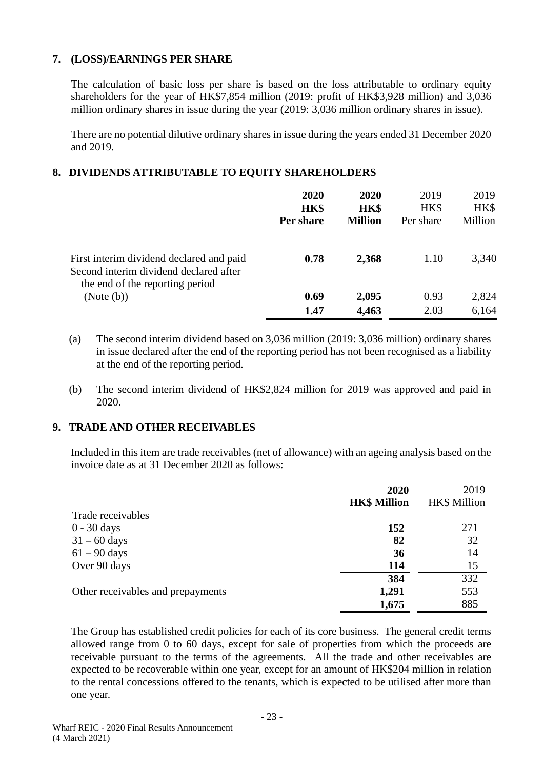## **7. (LOSS)/EARNINGS PER SHARE**

The calculation of basic loss per share is based on the loss attributable to ordinary equity shareholders for the year of HK\$7,854 million (2019: profit of HK\$3,928 million) and 3,036 million ordinary shares in issue during the year (2019: 3,036 million ordinary shares in issue).

There are no potential dilutive ordinary shares in issue during the years ended 31 December 2020 and 2019.

## **8. DIVIDENDS ATTRIBUTABLE TO EQUITY SHAREHOLDERS**

|                                                                                    | 2020<br>HK\$<br>Per share | 2020<br>HK\$<br><b>Million</b> | 2019<br>HK\$<br>Per share | 2019<br>HK\$<br>Million |
|------------------------------------------------------------------------------------|---------------------------|--------------------------------|---------------------------|-------------------------|
| First interim dividend declared and paid<br>Second interim dividend declared after | 0.78                      | 2,368                          | 1.10                      | 3,340                   |
| the end of the reporting period<br>(Note (b))                                      | 0.69                      | 2,095                          | 0.93                      | 2,824                   |
|                                                                                    | 1.47                      | 4,463                          | 2.03                      | 6,164                   |

- (a) The second interim dividend based on 3,036 million (2019: 3,036 million) ordinary shares in issue declared after the end of the reporting period has not been recognised as a liability at the end of the reporting period.
- (b) The second interim dividend of HK\$2,824 million for 2019 was approved and paid in 2020.

## **9. TRADE AND OTHER RECEIVABLES**

Included in this item are trade receivables (net of allowance) with an ageing analysis based on the invoice date as at 31 December 2020 as follows:

|                                   | 2020                | 2019                |
|-----------------------------------|---------------------|---------------------|
|                                   | <b>HK\$ Million</b> | <b>HK\$ Million</b> |
| Trade receivables                 |                     |                     |
| 0 - 30 days                       | 152                 | 271                 |
| $31 - 60$ days                    | 82                  | 32                  |
| $61 - 90$ days                    | 36                  | 14                  |
| Over 90 days                      | 114                 | 15                  |
|                                   | 384                 | 332                 |
| Other receivables and prepayments | 1,291               | 553                 |
|                                   | 1,675               | 885                 |

The Group has established credit policies for each of its core business. The general credit terms allowed range from 0 to 60 days, except for sale of properties from which the proceeds are receivable pursuant to the terms of the agreements. All the trade and other receivables are expected to be recoverable within one year, except for an amount of HK\$204 million in relation to the rental concessions offered to the tenants, which is expected to be utilised after more than one year.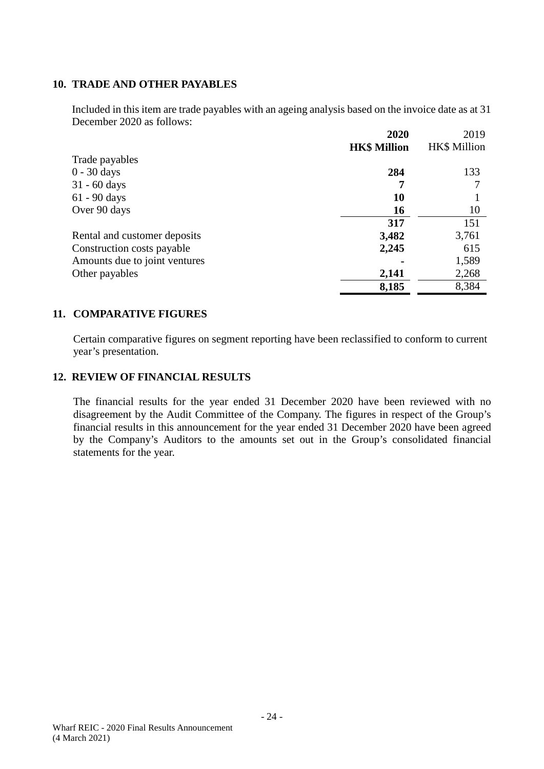## **10. TRADE AND OTHER PAYABLES**

Included in this item are trade payables with an ageing analysis based on the invoice date as at 31 December 2020 as follows:

|                               | 2020                | 2019                |
|-------------------------------|---------------------|---------------------|
|                               | <b>HK\$ Million</b> | <b>HK\$ Million</b> |
| Trade payables                |                     |                     |
| $0 - 30$ days                 | 284                 | 133                 |
| $31 - 60$ days                |                     |                     |
| $61 - 90$ days                | 10                  |                     |
| Over 90 days                  | 16                  | 10                  |
|                               | 317                 | 151                 |
| Rental and customer deposits  | 3,482               | 3,761               |
| Construction costs payable    | 2,245               | 615                 |
| Amounts due to joint ventures |                     | 1,589               |
| Other payables                | 2,141               | 2,268               |
|                               | 8,185               | 8,384               |

## **11. COMPARATIVE FIGURES**

Certain comparative figures on segment reporting have been reclassified to conform to current year's presentation.

#### **12. REVIEW OF FINANCIAL RESULTS**

The financial results for the year ended 31 December 2020 have been reviewed with no disagreement by the Audit Committee of the Company. The figures in respect of the Group's financial results in this announcement for the year ended 31 December 2020 have been agreed by the Company's Auditors to the amounts set out in the Group's consolidated financial statements for the year.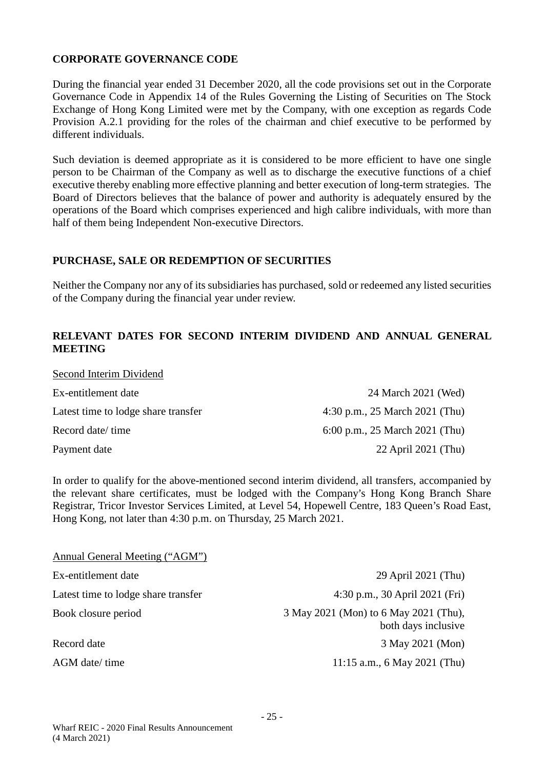## **CORPORATE GOVERNANCE CODE**

During the financial year ended 31 December 2020, all the code provisions set out in the Corporate Governance Code in Appendix 14 of the Rules Governing the Listing of Securities on The Stock Exchange of Hong Kong Limited were met by the Company, with one exception as regards Code Provision A.2.1 providing for the roles of the chairman and chief executive to be performed by different individuals.

Such deviation is deemed appropriate as it is considered to be more efficient to have one single person to be Chairman of the Company as well as to discharge the executive functions of a chief executive thereby enabling more effective planning and better execution of long-term strategies. The Board of Directors believes that the balance of power and authority is adequately ensured by the operations of the Board which comprises experienced and high calibre individuals, with more than half of them being Independent Non-executive Directors.

## **PURCHASE, SALE OR REDEMPTION OF SECURITIES**

Neither the Company nor any of its subsidiaries has purchased, sold or redeemed any listed securities of the Company during the financial year under review.

## **RELEVANT DATES FOR SECOND INTERIM DIVIDEND AND ANNUAL GENERAL MEETING**

| Second Interim Dividend             |                                |
|-------------------------------------|--------------------------------|
| Ex-entitlement date                 | 24 March 2021 (Wed)            |
| Latest time to lodge share transfer | 4:30 p.m., 25 March 2021 (Thu) |
| Record date/time                    | 6:00 p.m., 25 March 2021 (Thu) |
| Payment date                        | 22 April 2021 (Thu)            |

In order to qualify for the above-mentioned second interim dividend, all transfers, accompanied by the relevant share certificates, must be lodged with the Company's Hong Kong Branch Share Registrar, Tricor Investor Services Limited, at Level 54, Hopewell Centre, 183 Queen's Road East, Hong Kong, not later than 4:30 p.m. on Thursday, 25 March 2021.

| Annual General Meeting ("AGM")      |                                                              |
|-------------------------------------|--------------------------------------------------------------|
| Ex-entitlement date                 | 29 April 2021 (Thu)                                          |
| Latest time to lodge share transfer | 4:30 p.m., 30 April 2021 (Fri)                               |
| Book closure period                 | 3 May 2021 (Mon) to 6 May 2021 (Thu),<br>both days inclusive |
| Record date                         | 3 May 2021 (Mon)                                             |
| AGM date/ time                      | 11:15 a.m., 6 May 2021 (Thu)                                 |